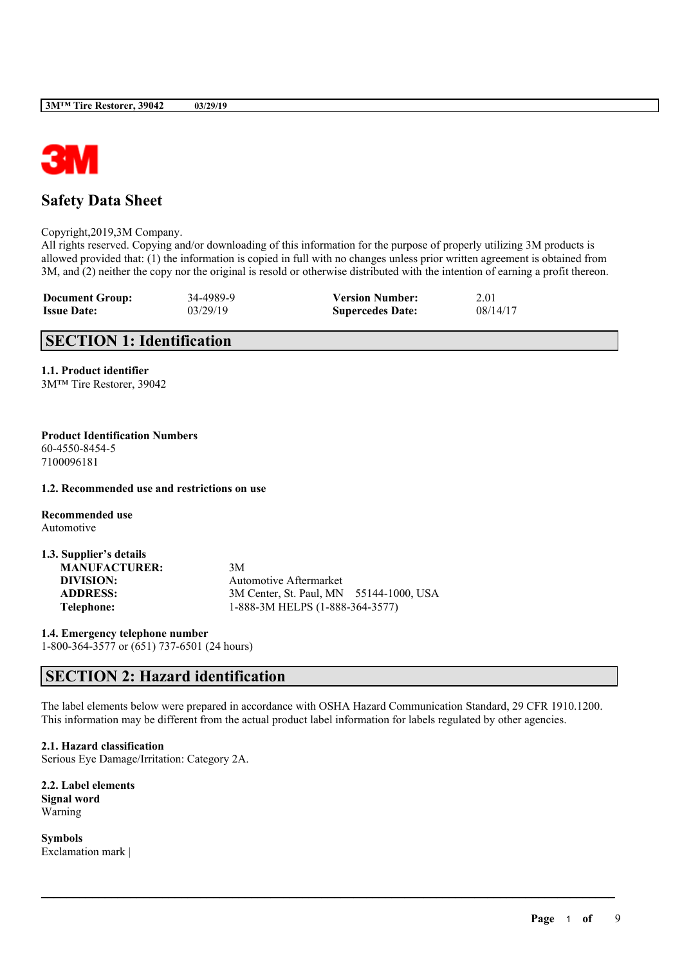

# **Safety Data Sheet**

Copyright,2019,3M Company.

All rights reserved. Copying and/or downloading of this information for the purpose of properly utilizing 3M products is allowed provided that: (1) the information is copied in full with no changes unless prior written agreement is obtained from 3M, and (2) neither the copy nor the original is resold or otherwise distributed with the intention of earning a profit thereon.

| <b>Document Group:</b> | 34-4989-9 | <b>Version Number:</b>  | 2.01     |
|------------------------|-----------|-------------------------|----------|
| <b>Issue Date:</b>     | 03/29/19  | <b>Supercedes Date:</b> | 08/14/17 |

# **SECTION 1: Identification**

**1.1. Product identifier** 3M™ Tire Restorer, 39042

#### **Product Identification Numbers** 60-4550-8454-5 7100096181

**1.2. Recommended use and restrictions on use**

**Recommended use** Automotive

| 1.3. Supplier's details |                                         |  |
|-------------------------|-----------------------------------------|--|
| <b>MANUFACTURER:</b>    | 3M                                      |  |
| DIVISION:               | Automotive Aftermarket                  |  |
| <b>ADDRESS:</b>         | 3M Center, St. Paul, MN 55144-1000, USA |  |
| Telephone:              | 1-888-3M HELPS (1-888-364-3577)         |  |

**1.4. Emergency telephone number** 1-800-364-3577 or (651) 737-6501 (24 hours)

# **SECTION 2: Hazard identification**

The label elements below were prepared in accordance with OSHA Hazard Communication Standard, 29 CFR 1910.1200. This information may be different from the actual product label information for labels regulated by other agencies.

 $\mathcal{L}_\mathcal{L} = \mathcal{L}_\mathcal{L} = \mathcal{L}_\mathcal{L} = \mathcal{L}_\mathcal{L} = \mathcal{L}_\mathcal{L} = \mathcal{L}_\mathcal{L} = \mathcal{L}_\mathcal{L} = \mathcal{L}_\mathcal{L} = \mathcal{L}_\mathcal{L} = \mathcal{L}_\mathcal{L} = \mathcal{L}_\mathcal{L} = \mathcal{L}_\mathcal{L} = \mathcal{L}_\mathcal{L} = \mathcal{L}_\mathcal{L} = \mathcal{L}_\mathcal{L} = \mathcal{L}_\mathcal{L} = \mathcal{L}_\mathcal{L}$ 

**2.1. Hazard classification** Serious Eye Damage/Irritation: Category 2A.

**2.2. Label elements Signal word** Warning

**Symbols** Exclamation mark |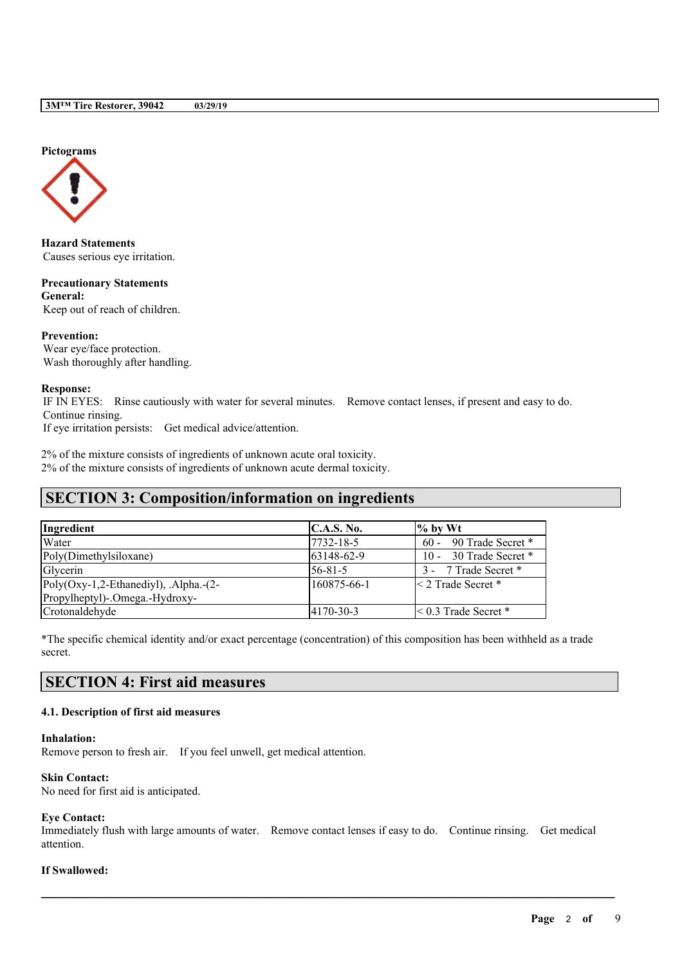**Pictograms**



**Hazard Statements** Causes serious eye irritation.

**Precautionary Statements General:** Keep out of reach of children.

#### **Prevention:**

Wear eye/face protection. Wash thoroughly after handling.

#### **Response:**

IF IN EYES: Rinse cautiously with water for several minutes. Remove contact lenses, if present and easy to do. Continue rinsing.

If eye irritation persists: Get medical advice/attention.

2% of the mixture consists of ingredients of unknown acute oral toxicity. 2% of the mixture consists of ingredients of unknown acute dermal toxicity.

# **SECTION 3: Composition/information on ingredients**

| Ingredient                                 | C.A.S. No.       | $\%$ by Wt                  |
|--------------------------------------------|------------------|-----------------------------|
| Water                                      | 7732-18-5        | $60 - 90$ Trade Secret *    |
| Poly(Dimethylsiloxane)                     | 63148-62-9       | 10 - 30 Trade Secret *      |
| Glycerin                                   | $56 - 81 - 5$    | 3 - 7 Trade Secret *        |
| $Poly(Oxy-1,2-Ethanedivl)$ , Alpha.- $(2-$ | 160875-66-1      | $\leq$ 2 Trade Secret $*$   |
| Propylheptyl)-.Omega.-Hydroxy-             |                  |                             |
| Crotonaldehyde                             | $14170 - 30 - 3$ | $\leq$ 0.3 Trade Secret $*$ |

\*The specific chemical identity and/or exact percentage (concentration) of this composition has been withheld as a trade secret.

# **SECTION 4: First aid measures**

# **4.1. Description of first aid measures**

### **Inhalation:**

Remove person to fresh air. If you feel unwell, get medical attention.

#### **Skin Contact:**

No need for first aid is anticipated.

# **Eye Contact:**

Immediately flush with large amounts of water. Remove contact lenses if easy to do. Continue rinsing. Get medical attention.

 $\mathcal{L}_\mathcal{L} = \mathcal{L}_\mathcal{L} = \mathcal{L}_\mathcal{L} = \mathcal{L}_\mathcal{L} = \mathcal{L}_\mathcal{L} = \mathcal{L}_\mathcal{L} = \mathcal{L}_\mathcal{L} = \mathcal{L}_\mathcal{L} = \mathcal{L}_\mathcal{L} = \mathcal{L}_\mathcal{L} = \mathcal{L}_\mathcal{L} = \mathcal{L}_\mathcal{L} = \mathcal{L}_\mathcal{L} = \mathcal{L}_\mathcal{L} = \mathcal{L}_\mathcal{L} = \mathcal{L}_\mathcal{L} = \mathcal{L}_\mathcal{L}$ 

# **If Swallowed:**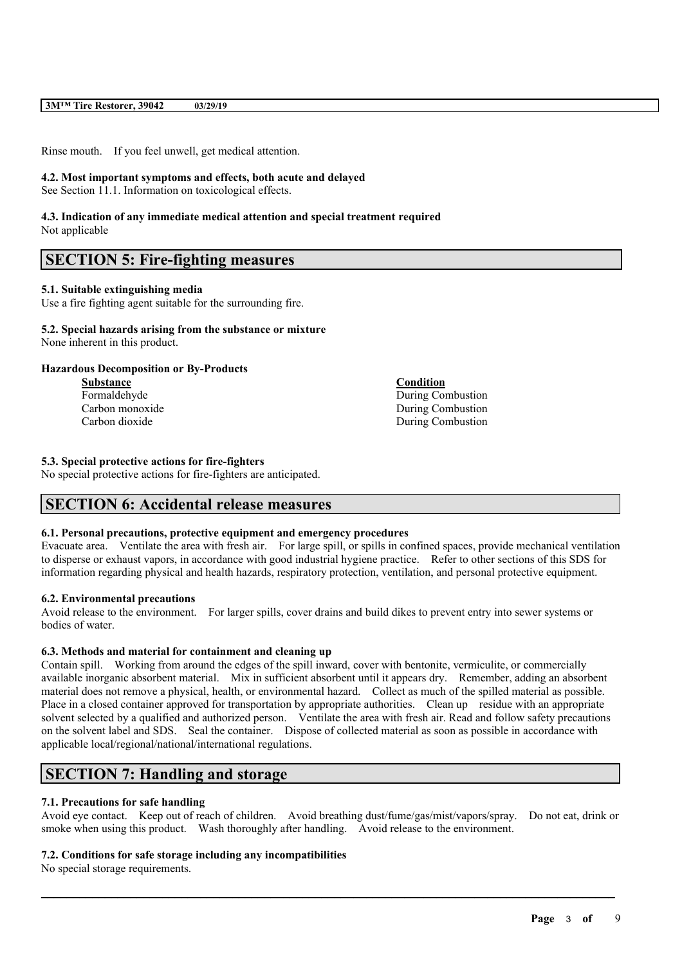Rinse mouth. If you feel unwell, get medical attention.

### **4.2. Most important symptoms and effects, both acute and delayed**

See Section 11.1. Information on toxicological effects.

### **4.3. Indication of any immediate medical attention and special treatment required** Not applicable

# **SECTION 5: Fire-fighting measures**

# **5.1. Suitable extinguishing media**

Use a fire fighting agent suitable for the surrounding fire.

#### **5.2. Special hazards arising from the substance or mixture** None inherent in this product.

# **Hazardous Decomposition or By-Products**

**Substance Condition**

Formaldehyde During Combustion Carbon monoxide During Combustion Carbon dioxide During Combustion

### **5.3. Special protective actions for fire-fighters**

No special protective actions for fire-fighters are anticipated.

# **SECTION 6: Accidental release measures**

# **6.1. Personal precautions, protective equipment and emergency procedures**

Evacuate area. Ventilate the area with fresh air. For large spill, or spills in confined spaces, provide mechanical ventilation to disperse or exhaust vapors, in accordance with good industrial hygiene practice. Refer to other sections of this SDS for information regarding physical and health hazards, respiratory protection, ventilation, and personal protective equipment.

# **6.2. Environmental precautions**

Avoid release to the environment. For larger spills, cover drains and build dikes to prevent entry into sewer systems or bodies of water.

# **6.3. Methods and material for containment and cleaning up**

Contain spill. Working from around the edges of the spill inward, cover with bentonite, vermiculite, or commercially available inorganic absorbent material. Mix in sufficient absorbent until it appears dry. Remember, adding an absorbent material does not remove a physical, health, or environmental hazard. Collect as much of the spilled material as possible. Place in a closed container approved for transportation by appropriate authorities. Clean up residue with an appropriate solvent selected by a qualified and authorized person. Ventilate the area with fresh air. Read and follow safety precautions on the solvent label and SDS. Seal the container. Dispose of collected material as soon as possible in accordance with applicable local/regional/national/international regulations.

# **SECTION 7: Handling and storage**

# **7.1. Precautions for safe handling**

Avoid eye contact. Keep out of reach of children. Avoid breathing dust/fume/gas/mist/vapors/spray. Do not eat, drink or smoke when using this product. Wash thoroughly after handling. Avoid release to the environment.

 $\mathcal{L}_\mathcal{L} = \mathcal{L}_\mathcal{L} = \mathcal{L}_\mathcal{L} = \mathcal{L}_\mathcal{L} = \mathcal{L}_\mathcal{L} = \mathcal{L}_\mathcal{L} = \mathcal{L}_\mathcal{L} = \mathcal{L}_\mathcal{L} = \mathcal{L}_\mathcal{L} = \mathcal{L}_\mathcal{L} = \mathcal{L}_\mathcal{L} = \mathcal{L}_\mathcal{L} = \mathcal{L}_\mathcal{L} = \mathcal{L}_\mathcal{L} = \mathcal{L}_\mathcal{L} = \mathcal{L}_\mathcal{L} = \mathcal{L}_\mathcal{L}$ 

# **7.2. Conditions for safe storage including any incompatibilities**

No special storage requirements.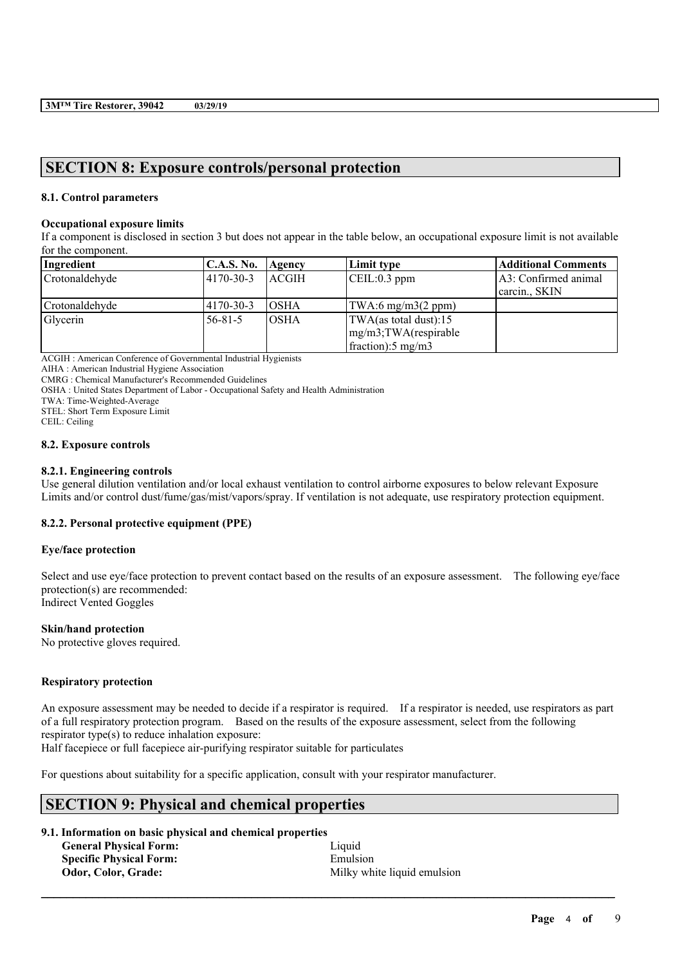# **SECTION 8: Exposure controls/personal protection**

# **8.1. Control parameters**

#### **Occupational exposure limits**

If a component is disclosed in section 3 but does not appear in the table below, an occupational exposure limit is not available for the component.

| Ingredient     | C.A.S. No.    | Agency       | Limit type                                                                              | <b>Additional Comments</b>          |
|----------------|---------------|--------------|-----------------------------------------------------------------------------------------|-------------------------------------|
| Crotonaldehyde | 4170-30-3     | <b>ACGIH</b> | $\vert$ CEIL:0.3 ppm                                                                    | A3: Confirmed animal<br>carcin SKIN |
| Crotonaldehyde | 4170-30-3     | IOSHA        | $\text{TWA:6 mg/m3}(2 \text{ ppm})$                                                     |                                     |
| Glycerin       | $56 - 81 - 5$ | IOSHA        | TWA(as total dust):15<br>$\frac{mg}{m3}$ ; TWA(respirable<br>fraction: $5 \text{ mg/m}$ |                                     |

ACGIH : American Conference of Governmental Industrial Hygienists

AIHA : American Industrial Hygiene Association

CMRG : Chemical Manufacturer's Recommended Guidelines

OSHA : United States Department of Labor - Occupational Safety and Health Administration

TWA: Time-Weighted-Average

STEL: Short Term Exposure Limit

CEIL: Ceiling

#### **8.2. Exposure controls**

### **8.2.1. Engineering controls**

Use general dilution ventilation and/or local exhaust ventilation to control airborne exposures to below relevant Exposure Limits and/or control dust/fume/gas/mist/vapors/spray. If ventilation is not adequate, use respiratory protection equipment.

# **8.2.2. Personal protective equipment (PPE)**

#### **Eye/face protection**

Select and use eve/face protection to prevent contact based on the results of an exposure assessment. The following eve/face protection(s) are recommended: Indirect Vented Goggles

### **Skin/hand protection**

No protective gloves required.

#### **Respiratory protection**

An exposure assessment may be needed to decide if a respirator is required. If a respirator is needed, use respirators as part of a full respiratory protection program. Based on the results of the exposure assessment, select from the following respirator type(s) to reduce inhalation exposure:

 $\mathcal{L}_\mathcal{L} = \mathcal{L}_\mathcal{L} = \mathcal{L}_\mathcal{L} = \mathcal{L}_\mathcal{L} = \mathcal{L}_\mathcal{L} = \mathcal{L}_\mathcal{L} = \mathcal{L}_\mathcal{L} = \mathcal{L}_\mathcal{L} = \mathcal{L}_\mathcal{L} = \mathcal{L}_\mathcal{L} = \mathcal{L}_\mathcal{L} = \mathcal{L}_\mathcal{L} = \mathcal{L}_\mathcal{L} = \mathcal{L}_\mathcal{L} = \mathcal{L}_\mathcal{L} = \mathcal{L}_\mathcal{L} = \mathcal{L}_\mathcal{L}$ 

Half facepiece or full facepiece air-purifying respirator suitable for particulates

For questions about suitability for a specific application, consult with your respirator manufacturer.

# **SECTION 9: Physical and chemical properties**

# **9.1. Information on basic physical and chemical properties**

| <b>General Physical Form:</b>  | Liquid                      |
|--------------------------------|-----------------------------|
| <b>Specific Physical Form:</b> | Emulsion                    |
| Odor, Color, Grade:            | Milky white liquid emulsion |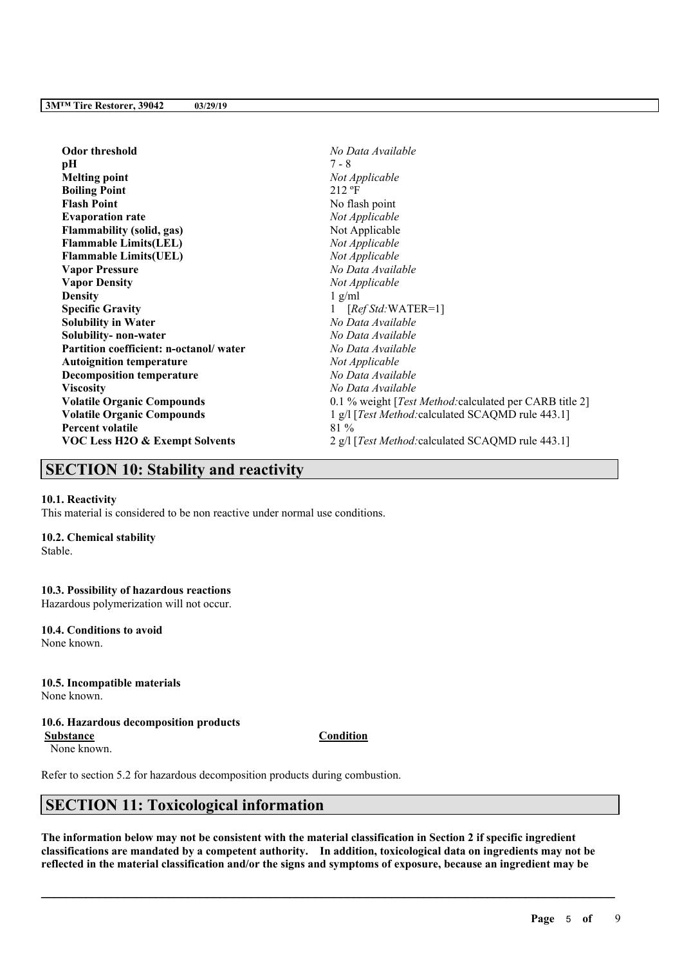| Odor threshold                            | No Data Available                                               |
|-------------------------------------------|-----------------------------------------------------------------|
| pН                                        | 7 - 8                                                           |
| <b>Melting point</b>                      | Not Applicable                                                  |
| <b>Boiling Point</b>                      | $212 \text{ }^{\circ}F$                                         |
| <b>Flash Point</b>                        | No flash point                                                  |
| <b>Evaporation rate</b>                   | Not Applicable                                                  |
| <b>Flammability (solid, gas)</b>          | Not Applicable                                                  |
| <b>Flammable Limits(LEL)</b>              | Not Applicable                                                  |
| <b>Flammable Limits(UEL)</b>              | Not Applicable                                                  |
| <b>Vapor Pressure</b>                     | No Data Available                                               |
| <b>Vapor Density</b>                      | Not Applicable                                                  |
| Density                                   | $1$ g/ml                                                        |
| <b>Specific Gravity</b>                   | $[RefStd:WATER=1]$                                              |
| <b>Solubility in Water</b>                | No Data Available                                               |
| Solubility- non-water                     | No Data Available                                               |
| Partition coefficient: n-octanol/water    | No Data Available                                               |
| <b>Autoignition temperature</b>           | Not Applicable                                                  |
| <b>Decomposition temperature</b>          | No Data Available                                               |
| Viscosity                                 | No Data Available                                               |
| <b>Volatile Organic Compounds</b>         | 0.1 % weight [ <i>Test Method:</i> calculated per CARB title 2] |
| <b>Volatile Organic Compounds</b>         | 1 g/l [Test Method: calculated SCAQMD rule 443.1]               |
| <b>Percent volatile</b>                   | 81 %                                                            |
| <b>VOC Less H2O &amp; Exempt Solvents</b> | 2 g/l [Test Method: calculated SCAQMD rule 443.1]               |

# **SECTION 10: Stability and reactivity**

#### **10.1. Reactivity**

This material is considered to be non reactive under normal use conditions.

# **10.2. Chemical stability**

Stable.

### **10.3. Possibility of hazardous reactions**

Hazardous polymerization will not occur.

# **10.4. Conditions to avoid**

None known.

# **10.5. Incompatible materials**

None known.

# **10.6. Hazardous decomposition products**

**Substance Condition** None known.

Refer to section 5.2 for hazardous decomposition products during combustion.

# **SECTION 11: Toxicological information**

The information below may not be consistent with the material classification in Section 2 if specific ingredient **classifications are mandated by a competent authority. In addition, toxicological data on ingredients may not be** reflected in the material classification and/or the signs and symptoms of exposure, because an ingredient may be

 $\mathcal{L}_\mathcal{L} = \mathcal{L}_\mathcal{L} = \mathcal{L}_\mathcal{L} = \mathcal{L}_\mathcal{L} = \mathcal{L}_\mathcal{L} = \mathcal{L}_\mathcal{L} = \mathcal{L}_\mathcal{L} = \mathcal{L}_\mathcal{L} = \mathcal{L}_\mathcal{L} = \mathcal{L}_\mathcal{L} = \mathcal{L}_\mathcal{L} = \mathcal{L}_\mathcal{L} = \mathcal{L}_\mathcal{L} = \mathcal{L}_\mathcal{L} = \mathcal{L}_\mathcal{L} = \mathcal{L}_\mathcal{L} = \mathcal{L}_\mathcal{L}$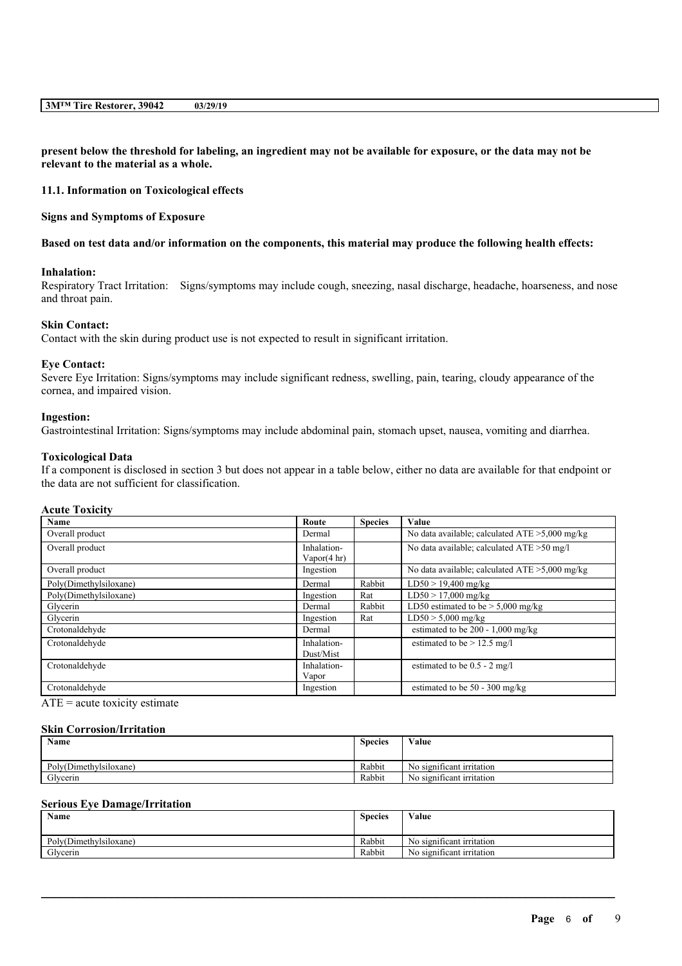present below the threshold for labeling, an ingredient may not be available for exposure, or the data may not be **relevant to the material as a whole.**

**11.1. Information on Toxicological effects**

**Signs and Symptoms of Exposure**

#### Based on test data and/or information on the components, this material may produce the following health effects:

# **Inhalation:**

Respiratory Tract Irritation: Signs/symptoms may include cough, sneezing, nasal discharge, headache, hoarseness, and nose and throat pain.

#### **Skin Contact:**

Contact with the skin during product use is not expected to result in significant irritation.

#### **Eye Contact:**

Severe Eye Irritation: Signs/symptoms may include significant redness, swelling, pain, tearing, cloudy appearance of the cornea, and impaired vision.

#### **Ingestion:**

Gastrointestinal Irritation: Signs/symptoms may include abdominal pain, stomach upset, nausea, vomiting and diarrhea.

#### **Toxicological Data**

If a component is disclosed in section 3 but does not appear in a table below, either no data are available for that endpoint or the data are not sufficient for classification.

### **Acute Toxicity**

| Name                   | Route                         | <b>Species</b> | Value                                             |
|------------------------|-------------------------------|----------------|---------------------------------------------------|
| Overall product        | Dermal                        |                | No data available; calculated $ATE > 5,000$ mg/kg |
| Overall product        | Inhalation-<br>Vapor $(4 hr)$ |                | No data available; calculated ATE > 50 mg/l       |
| Overall product        | Ingestion                     |                | No data available; calculated $ATE > 5,000$ mg/kg |
| Poly(Dimethylsiloxane) | Dermal                        | Rabbit         | $LD50 > 19,400$ mg/kg                             |
| Poly(Dimethylsiloxane) | Ingestion                     | Rat            | $LD50 > 17,000$ mg/kg                             |
| Glycerin               | Dermal                        | Rabbit         | LD50 estimated to be $> 5,000$ mg/kg              |
| Glycerin               | Ingestion                     | Rat            | $LD50 > 5,000$ mg/kg                              |
| Crotonaldehyde         | Dermal                        |                | estimated to be $200 - 1,000$ mg/kg               |
| Crotonaldehyde         | Inhalation-<br>Dust/Mist      |                | estimated to be $> 12.5$ mg/l                     |
| Crotonaldehyde         | Inhalation-<br>Vapor          |                | estimated to be $0.5 - 2$ mg/l                    |
| Crotonaldehyde         | Ingestion                     |                | estimated to be $50 - 300$ mg/kg                  |

 $ATE = acute$  toxicity estimate

#### **Skin Corrosion/Irritation**

| <b>Name</b>            | <b>Species</b> | Value                               |
|------------------------|----------------|-------------------------------------|
| Poly(Dimethylsiloxane) | Rabbit         | $\sim$<br>No significant irritation |
| Glycerin               | Rabbit         | No significant irritation           |

#### **Serious Eye Damage/Irritation**

| <b>Name</b>            | <b>Species</b> | Value                            |
|------------------------|----------------|----------------------------------|
| Poly(Dimethylsiloxane) | Rabbit         | . .<br>No significant irritation |
| Glycerin               | Rabbit         | . .<br>No significant irritation |

 $\mathcal{L}_\mathcal{L} = \mathcal{L}_\mathcal{L} = \mathcal{L}_\mathcal{L} = \mathcal{L}_\mathcal{L} = \mathcal{L}_\mathcal{L} = \mathcal{L}_\mathcal{L} = \mathcal{L}_\mathcal{L} = \mathcal{L}_\mathcal{L} = \mathcal{L}_\mathcal{L} = \mathcal{L}_\mathcal{L} = \mathcal{L}_\mathcal{L} = \mathcal{L}_\mathcal{L} = \mathcal{L}_\mathcal{L} = \mathcal{L}_\mathcal{L} = \mathcal{L}_\mathcal{L} = \mathcal{L}_\mathcal{L} = \mathcal{L}_\mathcal{L}$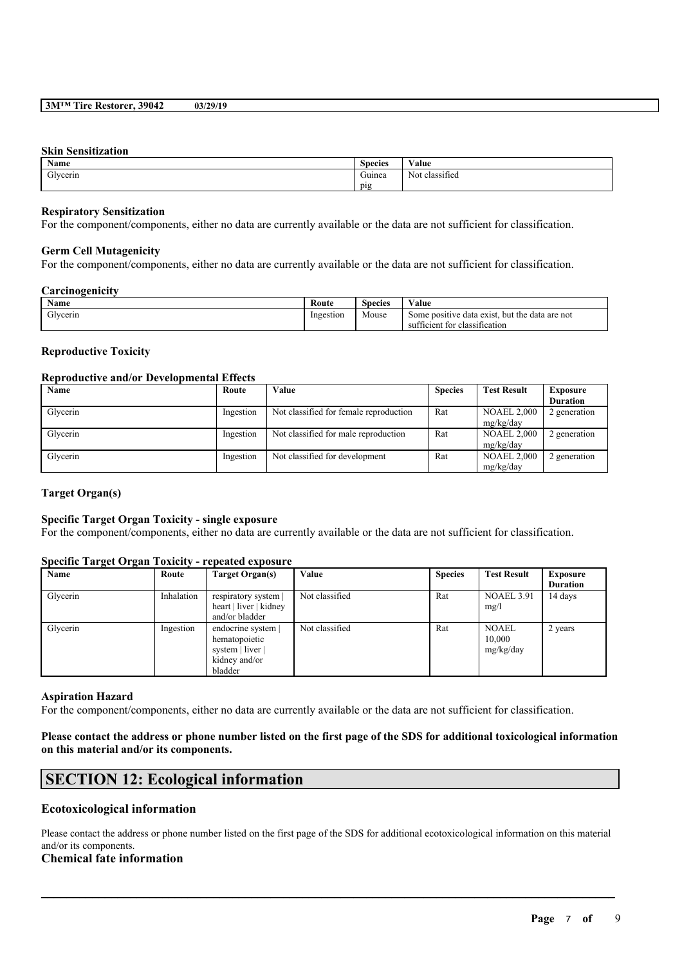#### **Skin Sensitization**

| <b>Name</b> | $\sim$<br><b>Species</b> | $\mathbf{v}$<br>Value                   |
|-------------|--------------------------|-----------------------------------------|
| Glycerin    | $\sim$<br>Guinea         | <b>CONTRACTOR</b><br>Not.<br>classified |
|             | pig                      |                                         |

### **Respiratory Sensitization**

For the component/components, either no data are currently available or the data are not sufficient for classification.

### **Germ Cell Mutagenicity**

For the component/components, either no data are currently available or the data are not sufficient for classification.

#### **Carcinogenicity**

| Name     | Route     | $\sim$<br>Species | <b>WY 3</b><br>∕ alue                                                              |
|----------|-----------|-------------------|------------------------------------------------------------------------------------|
| Glycerin | Ingestion | Mouse             | but the data are not<br>Some positive data exist.<br>sufficient for classification |

### **Reproductive Toxicity**

#### **Reproductive and/or Developmental Effects**

| Name     | Route     | Value                                  | <b>Species</b> | <b>Test Result</b> | <b>Exposure</b> |
|----------|-----------|----------------------------------------|----------------|--------------------|-----------------|
|          |           |                                        |                |                    | <b>Duration</b> |
| Glycerin | Ingestion | Not classified for female reproduction | Rat            | <b>NOAEL 2,000</b> | 2 generation    |
|          |           |                                        |                | mg/kg/day          |                 |
| Glycerin | Ingestion | Not classified for male reproduction   | Rat            | <b>NOAEL 2,000</b> | 2 generation    |
|          |           |                                        |                | mg/kg/day          |                 |
| Glycerin | Ingestion | Not classified for development         | Rat            | <b>NOAEL 2,000</b> | 2 generation    |
|          |           |                                        |                | mg/kg/day          |                 |

# **Target Organ(s)**

# **Specific Target Organ Toxicity - single exposure**

For the component/components, either no data are currently available or the data are not sufficient for classification.

# **Specific Target Organ Toxicity - repeated exposure**

| Name     | Route      | Target Organ(s)        | Value          | <b>Species</b> | <b>Test Result</b> | <b>Exposure</b> |
|----------|------------|------------------------|----------------|----------------|--------------------|-----------------|
|          |            |                        |                |                |                    | <b>Duration</b> |
| Glycerin | Inhalation | respiratory system     | Not classified | Rat            | <b>NOAEL 3.91</b>  | 14 days         |
|          |            | heart   liver   kidney |                |                | mg/l               |                 |
|          |            | and/or bladder         |                |                |                    |                 |
| Glycerin | Ingestion  | endocrine system       | Not classified | Rat            | <b>NOAEL</b>       | 2 years         |
|          |            | hematopoietic          |                |                | 10,000             |                 |
|          |            | system   liver         |                |                | mg/kg/day          |                 |
|          |            | kidney and/or          |                |                |                    |                 |
|          |            | bladder                |                |                |                    |                 |

### **Aspiration Hazard**

For the component/components, either no data are currently available or the data are not sufficient for classification.

# Please contact the address or phone number listed on the first page of the SDS for additional toxicological information **on this material and/or its components.**

# **SECTION 12: Ecological information**

# **Ecotoxicological information**

Please contact the address or phone number listed on the first page of the SDS for additional ecotoxicological information on this material and/or its components.

 $\mathcal{L}_\mathcal{L} = \mathcal{L}_\mathcal{L} = \mathcal{L}_\mathcal{L} = \mathcal{L}_\mathcal{L} = \mathcal{L}_\mathcal{L} = \mathcal{L}_\mathcal{L} = \mathcal{L}_\mathcal{L} = \mathcal{L}_\mathcal{L} = \mathcal{L}_\mathcal{L} = \mathcal{L}_\mathcal{L} = \mathcal{L}_\mathcal{L} = \mathcal{L}_\mathcal{L} = \mathcal{L}_\mathcal{L} = \mathcal{L}_\mathcal{L} = \mathcal{L}_\mathcal{L} = \mathcal{L}_\mathcal{L} = \mathcal{L}_\mathcal{L}$ 

# **Chemical fate information**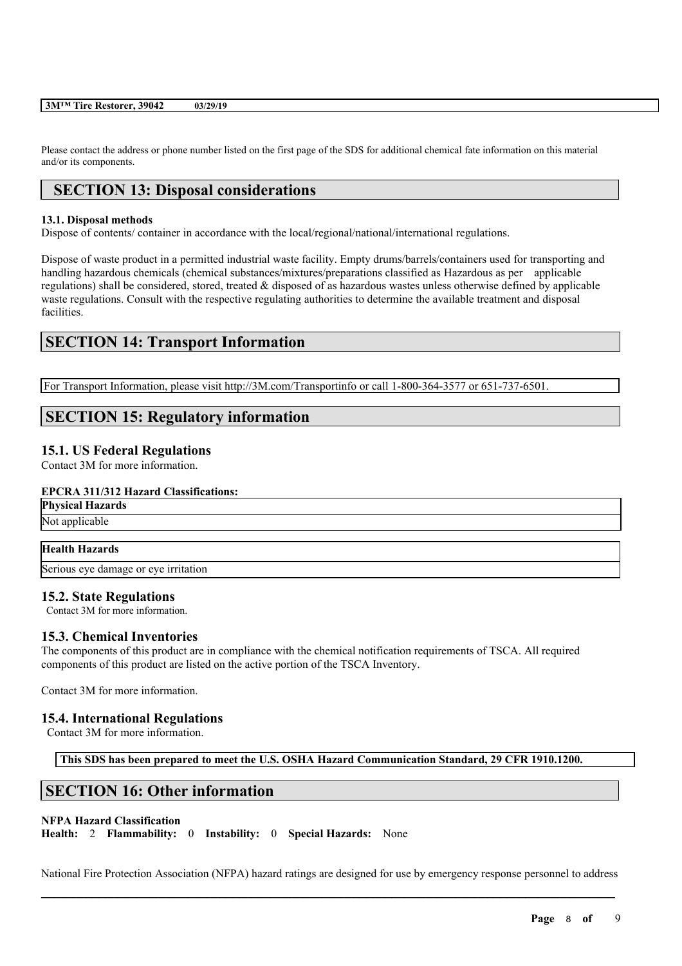Please contact the address or phone number listed on the first page of the SDS for additional chemical fate information on this material and/or its components.

# **SECTION 13: Disposal considerations**

### **13.1. Disposal methods**

Dispose of contents/ container in accordance with the local/regional/national/international regulations.

Dispose of waste product in a permitted industrial waste facility. Empty drums/barrels/containers used for transporting and handling hazardous chemicals (chemical substances/mixtures/preparations classified as Hazardous as per applicable regulations) shall be considered, stored, treated & disposed of as hazardous wastes unless otherwise defined by applicable waste regulations. Consult with the respective regulating authorities to determine the available treatment and disposal facilities.

# **SECTION 14: Transport Information**

For Transport Information, please visit http://3M.com/Transportinfo or call 1-800-364-3577 or 651-737-6501.

# **SECTION 15: Regulatory information**

# **15.1. US Federal Regulations**

Contact 3M for more information.

# **EPCRA 311/312 Hazard Classifications:**

**Physical Hazards**

# Not applicable

# **Health Hazards**

Serious eye damage or eye irritation

# **15.2. State Regulations**

Contact 3M for more information.

# **15.3. Chemical Inventories**

The components of this product are in compliance with the chemical notification requirements of TSCA. All required components of this product are listed on the active portion of the TSCA Inventory.

Contact 3M for more information.

# **15.4. International Regulations**

Contact 3M for more information.

**This SDS has been prepared to meet the U.S. OSHA Hazard Communication Standard, 29 CFR 1910.1200.**

# **SECTION 16: Other information**

#### **NFPA Hazard Classification**

**Health:** 2 **Flammability:** 0 **Instability:** 0 **Special Hazards:** None

 $\mathcal{L}_\mathcal{L} = \mathcal{L}_\mathcal{L} = \mathcal{L}_\mathcal{L} = \mathcal{L}_\mathcal{L} = \mathcal{L}_\mathcal{L} = \mathcal{L}_\mathcal{L} = \mathcal{L}_\mathcal{L} = \mathcal{L}_\mathcal{L} = \mathcal{L}_\mathcal{L} = \mathcal{L}_\mathcal{L} = \mathcal{L}_\mathcal{L} = \mathcal{L}_\mathcal{L} = \mathcal{L}_\mathcal{L} = \mathcal{L}_\mathcal{L} = \mathcal{L}_\mathcal{L} = \mathcal{L}_\mathcal{L} = \mathcal{L}_\mathcal{L}$ National Fire Protection Association (NFPA) hazard ratings are designed for use by emergency response personnel to address